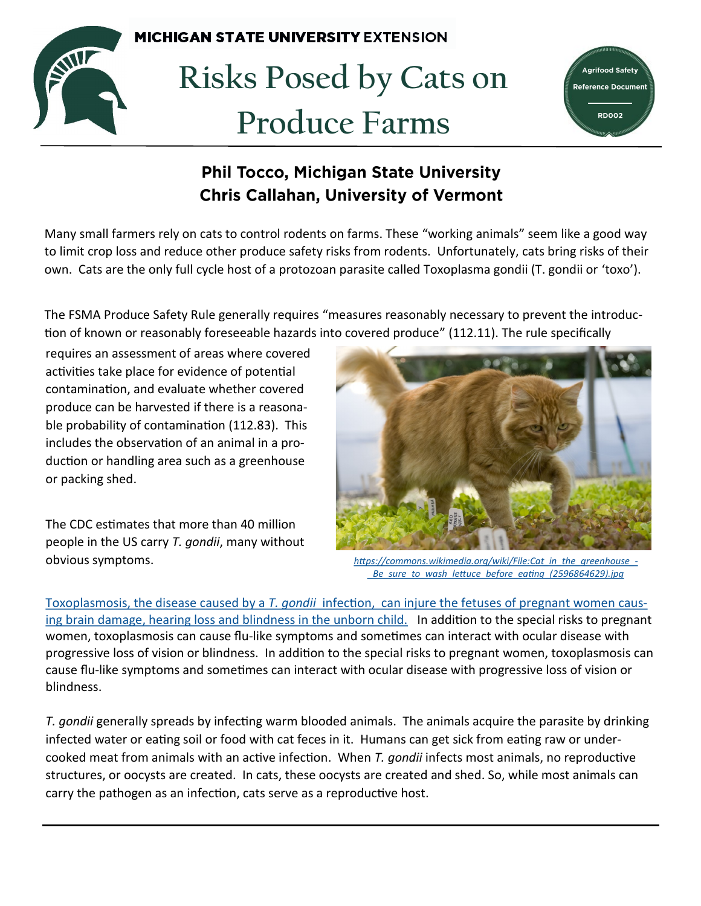

**Risks Posed by Cats on Produce Farms** 

**MICHIGAN STATE UNIVERSITY EXTENSION** 



## **Phil Tocco, Michigan State University Chris Callahan, University of Vermont**

Many small farmers rely on cats to control rodents on farms. These "working animals" seem like a good way to limit crop loss and reduce other produce safety risks from rodents. Unfortunately, cats bring risks of their own. Cats are the only full cycle host of a protozoan parasite called Toxoplasma gondii (T. gondii or 'toxo').

The FSMA Produce Safety Rule generally requires "measures reasonably necessary to prevent the introduction of known or reasonably foreseeable hazards into covered produce" (112.11). The rule specifically

requires an assessment of areas where covered activities take place for evidence of potential contamination, and evaluate whether covered produce can be harvested if there is a reasonable probability of contamination (112.83). This includes the observation of an animal in a production or handling area such as a greenhouse or packing shed.

The CDC estimates that more than 40 million people in the US carry *T. gondii*, many without obvious symptoms.



*[https://commons.wikimedia.org/wiki/File:Cat\\_in\\_the\\_greenhouse\\_](https://commons.wikimedia.org/wiki/File:Cat_in_the_greenhouse_-_Be_sure_to_wash_lettuce_before_eating_(2596864629).jpg)- [\\_Be\\_sure\\_to\\_wash\\_lettuce\\_before\\_eating\\_\(2596864629\).jpg](https://commons.wikimedia.org/wiki/File:Cat_in_the_greenhouse_-_Be_sure_to_wash_lettuce_before_eating_(2596864629).jpg)*

Toxoplasmosis, the disease caused by a *T. gondii* [infection, can injure the fetuses of pregnant women caus](https://www.cdc.gov/parasites/toxoplasmosis/disease.html)[ing brain damage, hearing loss and blindness in the unborn child.](https://www.cdc.gov/parasites/toxoplasmosis/disease.html) In addition to the special risks to pregnant women, toxoplasmosis can cause flu-like symptoms and sometimes can interact with ocular disease with progressive loss of vision or blindness.In addition to the special risks to pregnant women, toxoplasmosis can cause flu-like symptoms and sometimes can interact with ocular disease with progressive loss of vision or blindness.

*T. gondii* generally spreads by infecting warm blooded animals. The animals acquire the parasite by drinking infected water or eating soil or food with cat feces in it. Humans can get sick from eating raw or undercooked meat from animals with an active infection. When *T. gondii* infects most animals, no reproductive structures, or oocysts are created. In cats, these oocysts are created and shed. So, while most animals can carry the pathogen as an infection, cats serve as a reproductive host.